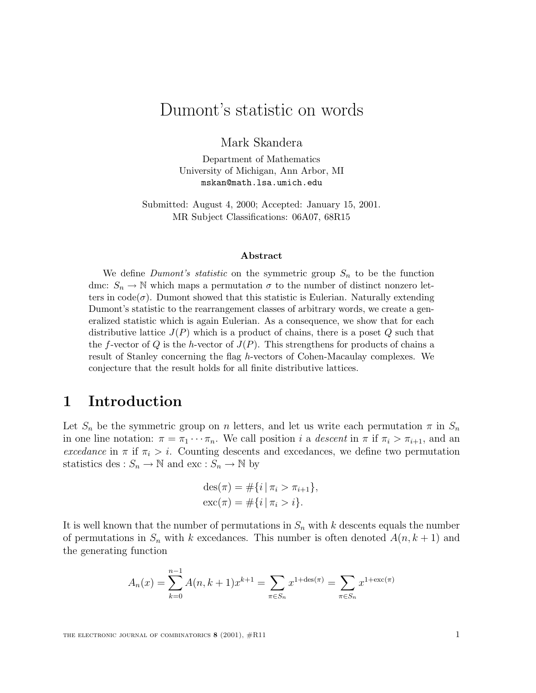# Dumont's statistic on words

Mark Skandera

Department of Mathematics University of Michigan, Ann Arbor, MI mskan@math.lsa.umich.edu

Submitted: August 4, 2000; Accepted: January 15, 2001. MR Subject Classifications: 06A07, 68R15

#### **Abstract**

We define *Dumont's statistic* on the symmetric group  $S_n$  to be the function dmc:  $S_n \to \mathbb{N}$  which maps a permutation  $\sigma$  to the number of distinct nonzero letters in  $code(\sigma)$ . Dumont showed that this statistic is Eulerian. Naturally extending Dumont's statistic to the rearrangement classes of arbitrary words, we create a generalized statistic which is again Eulerian. As a consequence, we show that for each distributive lattice  $J(P)$  which is a product of chains, there is a poset Q such that the f-vector of Q is the h-vector of  $J(P)$ . This strengthens for products of chains a result of Stanley concerning the flag h-vectors of Cohen-Macaulay complexes. We conjecture that the result holds for all finite distributive lattices.

#### **1 Introduction**

Let  $S_n$  be the symmetric group on n letters, and let us write each permutation  $\pi$  in  $S_n$ in one line notation:  $\pi = \pi_1 \cdots \pi_n$ . We call position i a descent in  $\pi$  if  $\pi_i > \pi_{i+1}$ , and an excedance in  $\pi$  if  $\pi_i > i$ . Counting descents and excedances, we define two permutation statistics des :  $S_n \to \mathbb{N}$  and exc :  $S_n \to \mathbb{N}$  by

$$
des(\pi) = #\{i \mid \pi_i > \pi_{i+1}\},
$$
  
exc( $\pi$ ) = # $\{i \mid \pi_i > i\}.$ 

It is well known that the number of permutations in  $S_n$  with k descents equals the number of permutations in  $S_n$  with k excedances. This number is often denoted  $A(n, k+1)$  and the generating function

$$
A_n(x) = \sum_{k=0}^{n-1} A(n, k+1) x^{k+1} = \sum_{\pi \in S_n} x^{1 + \text{des}(\pi)} = \sum_{\pi \in S_n} x^{1 + \text{exc}(\pi)}
$$

THE ELECTRONIC JOURNAL OF COMBINATORICS **8** (2001),  $#R11$  1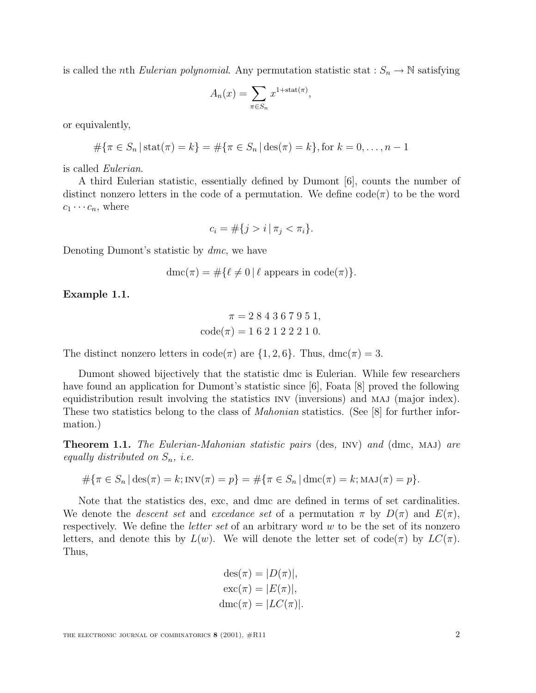is called the *n*th *Eulerian polynomial*. Any permutation statistic stat :  $S_n \to \mathbb{N}$  satisfying

$$
A_n(x) = \sum_{\pi \in S_n} x^{1 + \text{stat}(\pi)},
$$

or equivalently,

$$
\#\{\pi \in S_n \,|\, \text{stat}(\pi) = k\} = \#\{\pi \in S_n \,|\, \text{des}(\pi) = k\},\text{for } k = 0,\ldots, n-1
$$

is called Eulerian.

A third Eulerian statistic, essentially defined by Dumont [6], counts the number of distinct nonzero letters in the code of a permutation. We define  $\text{code}(\pi)$  to be the word  $c_1 \cdots c_n$ , where

$$
c_i = \#\{j > i \mid \pi_j < \pi_i\}.
$$

Denoting Dumont's statistic by dmc, we have

$$
\operatorname{dmc}(\pi) = \# \{ \ell \neq 0 \, | \, \ell \text{ appears in code}(\pi) \}.
$$

**Example 1.1.**

$$
\pi = 284367951,
$$
  

$$
code(\pi) = 162122210.
$$

The distinct nonzero letters in  $code(\pi)$  are  $\{1, 2, 6\}$ . Thus,  $dmc(\pi) = 3$ .

Dumont showed bijectively that the statistic dmc is Eulerian. While few researchers have found an application for Dumont's statistic since [6], Foata [8] proved the following equidistribution result involving the statistics INV (inversions) and MAJ (major index). These two statistics belong to the class of *Mahonian* statistics. (See [8] for further information.)

**Theorem 1.1.** The Eulerian-Mahonian statistic pairs (des, INV) and (dmc, MAJ) are equally distributed on  $S_n$ , i.e.

$$
\#\{\pi \in S_n \,|\, \text{des}(\pi) = k; \text{INV}(\pi) = p\} = \#\{\pi \in S_n \,|\, \text{dmc}(\pi) = k; \text{MAJ}(\pi) = p\}.
$$

Note that the statistics des, exc, and dmc are defined in terms of set cardinalities. We denote the *descent set* and excedance set of a permutation  $\pi$  by  $D(\pi)$  and  $E(\pi)$ , respectively. We define the *letter set* of an arbitrary word w to be the set of its nonzero letters, and denote this by  $L(w)$ . We will denote the letter set of code( $\pi$ ) by  $LC(\pi)$ . Thus,

$$
des(\pi) = |D(\pi)|,
$$
  
\n
$$
exc(\pi) = |E(\pi)|,
$$
  
\n
$$
dmc(\pi) = |LC(\pi)|.
$$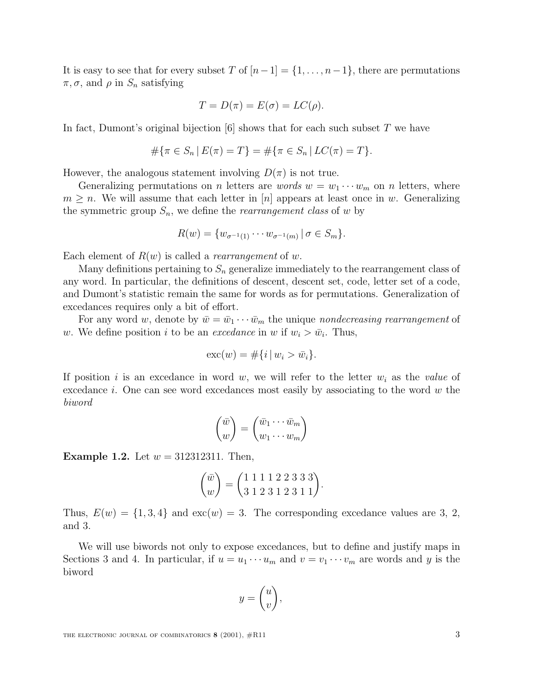It is easy to see that for every subset T of  $[n-1] = \{1, \ldots, n-1\}$ , there are permutations  $\pi, \sigma$ , and  $\rho$  in  $S_n$  satisfying

$$
T = D(\pi) = E(\sigma) = LC(\rho).
$$

In fact, Dumont's original bijection  $[6]$  shows that for each such subset T we have

$$
#\{\pi \in S_n \mid E(\pi) = T\} = #\{\pi \in S_n \mid LC(\pi) = T\}.
$$

However, the analogous statement involving  $D(\pi)$  is not true.

Generalizing permutations on *n* letters are *words*  $w = w_1 \cdots w_m$  on *n* letters, where  $m \geq n$ . We will assume that each letter in [n] appears at least once in w. Generalizing the symmetric group  $S_n$ , we define the *rearrangement class* of w by

$$
R(w) = \{ w_{\sigma^{-1}(1)} \cdots w_{\sigma^{-1}(m)} \, | \, \sigma \in S_m \}.
$$

Each element of  $R(w)$  is called a *rearrangement* of w.

Many definitions pertaining to  $S_n$  generalize immediately to the rearrangement class of any word. In particular, the definitions of descent, descent set, code, letter set of a code, and Dumont's statistic remain the same for words as for permutations. Generalization of excedances requires only a bit of effort.

For any word w, denote by  $\bar{w} = \bar{w}_1 \cdots \bar{w}_m$  the unique nondecreasing rearrangement of w. We define position i to be an *excedance* in w if  $w_i > \bar{w}_i$ . Thus,

$$
\mathrm{exc}(w) = \#\{i \,|\, w_i > \bar{w}_i\}.
$$

If position i is an excedance in word w, we will refer to the letter  $w_i$  as the value of excedance i. One can see word excedances most easily by associating to the word  $w$  the biword

$$
\begin{pmatrix} \bar{w} \\ w \end{pmatrix} = \begin{pmatrix} \bar{w}_1 \cdots \bar{w}_m \\ w_1 \cdots w_m \end{pmatrix}
$$

**Example 1.2.** Let  $w = 312312311$ . Then,

$$
\begin{pmatrix} \bar{w} \\ w \end{pmatrix} = \begin{pmatrix} 1 & 1 & 1 & 1 & 2 & 2 & 3 & 3 & 3 \\ 3 & 1 & 2 & 3 & 1 & 2 & 3 & 1 & 1 \end{pmatrix}.
$$

Thus,  $E(w) = \{1, 3, 4\}$  and  $exc(w) = 3$ . The corresponding excedance values are 3, 2, and 3.

We will use biwords not only to expose excedances, but to define and justify maps in Sections 3 and 4. In particular, if  $u = u_1 \cdots u_m$  and  $v = v_1 \cdots v_m$  are words and y is the biword

$$
y = \begin{pmatrix} u \\ v \end{pmatrix},
$$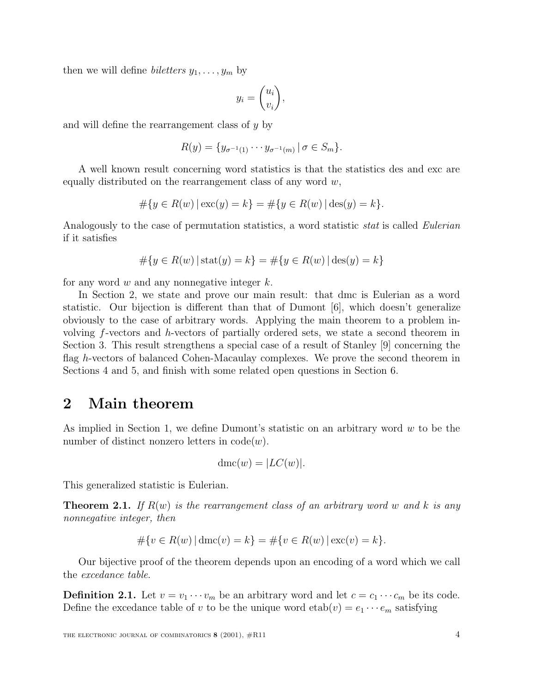then we will define *biletters*  $y_1, \ldots, y_m$  by

$$
y_i = \begin{pmatrix} u_i \\ v_i \end{pmatrix},
$$

and will define the rearrangement class of y by

$$
R(y) = \{y_{\sigma^{-1}(1)} \cdots y_{\sigma^{-1}(m)} | \sigma \in S_m\}.
$$

A well known result concerning word statistics is that the statistics des and exc are equally distributed on the rearrangement class of any word  $w$ ,

$$
#\{y \in R(w) | \csc(y) = k\} = #\{y \in R(w) | \text{des}(y) = k\}.
$$

Analogously to the case of permutation statistics, a word statistic *stat* is called *Eulerian* if it satisfies

$$
#\{y \in R(w) | \text{stat}(y) = k\} = #\{y \in R(w) | \text{des}(y) = k\}
$$

for any word  $w$  and any nonnegative integer  $k$ .

In Section 2, we state and prove our main result: that dmc is Eulerian as a word statistic. Our bijection is different than that of Dumont [6], which doesn't generalize obviously to the case of arbitrary words. Applying the main theorem to a problem involving f-vectors and h-vectors of partially ordered sets, we state a second theorem in Section 3. This result strengthens a special case of a result of Stanley [9] concerning the flag h-vectors of balanced Cohen-Macaulay complexes. We prove the second theorem in Sections 4 and 5, and finish with some related open questions in Section 6.

#### **2 Main theorem**

As implied in Section 1, we define Dumont's statistic on an arbitrary word  $w$  to be the number of distinct nonzero letters in  $code(w)$ .

$$
\operatorname{dmc}(w) = |LC(w)|.
$$

This generalized statistic is Eulerian.

**Theorem 2.1.** If  $R(w)$  is the rearrangement class of an arbitrary word w and k is any nonnegative integer, then

$$
#\{v \in R(w) | \dim(v) = k\} = #\{v \in R(w) | \operatorname{exc}(v) = k\}.
$$

Our bijective proof of the theorem depends upon an encoding of a word which we call the excedance table.

**Definition 2.1.** Let  $v = v_1 \cdots v_m$  be an arbitrary word and let  $c = c_1 \cdots c_m$  be its code. Define the excedance table of v to be the unique word  $etab(v) = e_1 \cdots e_m$  satisfying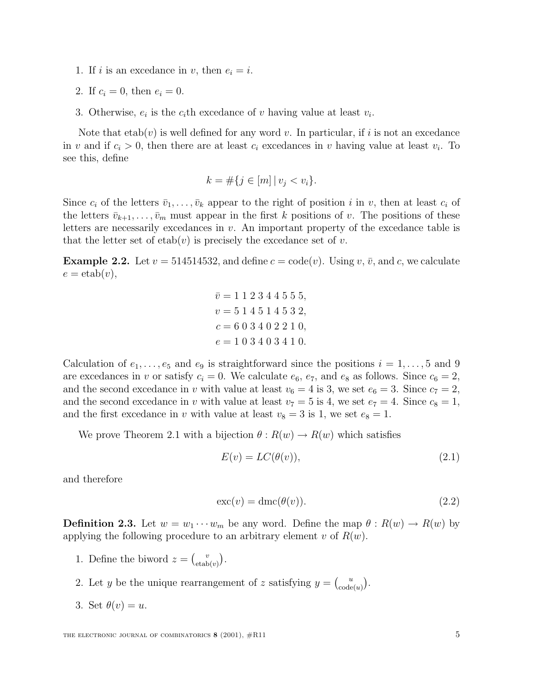- 1. If i is an excedance in v, then  $e_i = i$ .
- 2. If  $c_i = 0$ , then  $e_i = 0$ .
- 3. Otherwise,  $e_i$  is the  $c_i$ th excedance of v having value at least  $v_i$ .

Note that  $etab(v)$  is well defined for any word v. In particular, if i is not an excedance in v and if  $c_i > 0$ , then there are at least  $c_i$  excedances in v having value at least  $v_i$ . To see this, define

$$
k = \#\{j \in [m] \, | \, v_j < v_i\}.
$$

Since  $c_i$  of the letters  $\bar{v}_1,\ldots,\bar{v}_k$  appear to the right of position i in v, then at least  $c_i$  of the letters  $\bar{v}_{k+1},\ldots,\bar{v}_m$  must appear in the first k positions of v. The positions of these letters are necessarily excedances in  $v$ . An important property of the excedance table is that the letter set of  $etab(v)$  is precisely the excedance set of v.

**Example 2.2.** Let  $v = 514514532$ , and define  $c = \text{code}(v)$ . Using  $v, \bar{v}$ , and  $c$ , we calculate  $e = \text{etab}(v),$ 

$$
\overline{v} = 1 1 2 3 4 4 5 5 5,
$$
  
\n
$$
v = 5 1 4 5 1 4 5 3 2,
$$
  
\n
$$
c = 6 0 3 4 0 2 2 1 0,
$$
  
\n
$$
e = 1 0 3 4 0 3 4 1 0.
$$

Calculation of  $e_1, \ldots, e_5$  and  $e_9$  is straightforward since the positions  $i = 1, \ldots, 5$  and 9 are excedances in v or satisfy  $c_i = 0$ . We calculate  $e_6$ ,  $e_7$ , and  $e_8$  as follows. Since  $c_6 = 2$ , and the second excedance in v with value at least  $v_6 = 4$  is 3, we set  $e_6 = 3$ . Since  $c_7 = 2$ , and the second excedance in v with value at least  $v_7 = 5$  is 4, we set  $e_7 = 4$ . Since  $c_8 = 1$ , and the first excedance in v with value at least  $v_8 = 3$  is 1, we set  $e_8 = 1$ .

We prove Theorem 2.1 with a bijection  $\theta : R(w) \to R(w)$  which satisfies

$$
E(v) = LC(\theta(v)),\tag{2.1}
$$

and therefore

$$
\operatorname{exc}(v) = \operatorname{dmc}(\theta(v)).\tag{2.2}
$$

**Definition 2.3.** Let  $w = w_1 \cdots w_m$  be any word. Define the map  $\theta : R(w) \to R(w)$  by applying the following procedure to an arbitrary element v of  $R(w)$ .

- 1. Define the biword  $z = \begin{pmatrix} v \\ \text{etab}(v) \end{pmatrix}$ .
- 2. Let y be the unique rearrangement of z satisfying  $y = \begin{pmatrix} u \\ code(u) \end{pmatrix}$ .
- 3. Set  $\theta(v) = u$ .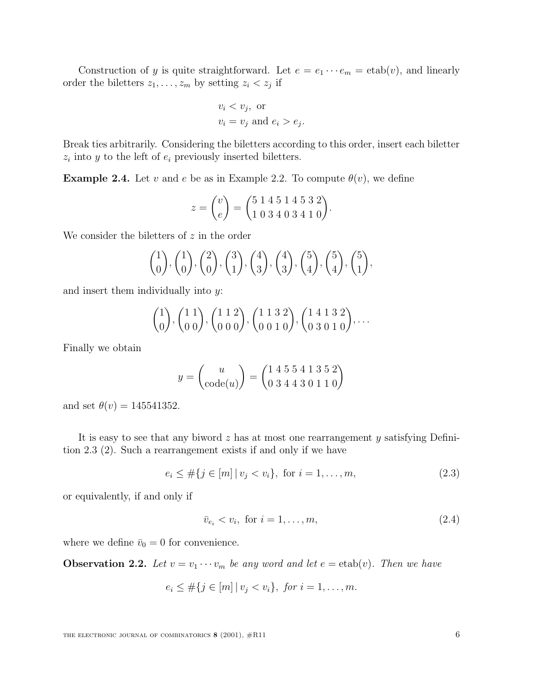Construction of y is quite straightforward. Let  $e = e_1 \cdots e_m = \text{etab}(v)$ , and linearly order the biletters  $z_1, \ldots, z_m$  by setting  $z_i < z_j$  if

$$
v_i < v_j, \text{ or}
$$
\n
$$
v_i = v_j \text{ and } e_i > e_j.
$$

Break ties arbitrarily. Considering the biletters according to this order, insert each biletter  $z_i$  into y to the left of  $e_i$  previously inserted biletters.

**Example 2.4.** Let v and e be as in Example 2.2. To compute  $\theta(v)$ , we define

$$
z = \begin{pmatrix} v \\ e \end{pmatrix} = \begin{pmatrix} 5 & 1 & 4 & 5 & 1 & 4 & 5 & 3 & 2 \\ 1 & 0 & 3 & 4 & 0 & 3 & 4 & 1 & 0 \end{pmatrix}.
$$

We consider the biletters of  $z$  in the order

$$
\binom{1}{0}
$$
,  $\binom{1}{0}$ ,  $\binom{2}{0}$ ,  $\binom{3}{1}$ ,  $\binom{4}{3}$ ,  $\binom{4}{3}$ ,  $\binom{5}{4}$ ,  $\binom{5}{4}$ ,  $\binom{5}{1}$ ,

and insert them individually into y:

$$
\begin{pmatrix} 1 \\ 0 \end{pmatrix}, \begin{pmatrix} 1 & 1 \\ 0 & 0 \end{pmatrix}, \begin{pmatrix} 1 & 1 & 2 \\ 0 & 0 & 0 \end{pmatrix}, \begin{pmatrix} 1 & 1 & 3 & 2 \\ 0 & 0 & 1 & 0 \end{pmatrix}, \begin{pmatrix} 1 & 4 & 1 & 3 & 2 \\ 0 & 3 & 0 & 1 & 0 \end{pmatrix}, \dots
$$

Finally we obtain

$$
y = \begin{pmatrix} u \\ \text{code}(u) \end{pmatrix} = \begin{pmatrix} 1 & 4 & 5 & 5 & 4 & 1 & 3 & 5 & 2 \\ 0 & 3 & 4 & 4 & 3 & 0 & 1 & 1 & 0 \end{pmatrix}
$$

and set  $\theta(v) = 145541352$ .

It is easy to see that any biword  $z$  has at most one rearrangement  $y$  satisfying Definition 2.3 (2). Such a rearrangement exists if and only if we have

$$
e_i \leq \#\{j \in [m] \mid v_j < v_i\}, \text{ for } i = 1, \dots, m,\tag{2.3}
$$

or equivalently, if and only if

$$
\bar{v}_{e_i} < v_i, \text{ for } i = 1, \dots, m,\tag{2.4}
$$

where we define  $\bar{v}_0 = 0$  for convenience.

**Observation 2.2.** Let  $v = v_1 \cdots v_m$  be any word and let  $e = \text{etab}(v)$ . Then we have

$$
e_i \leq #\{j \in [m] \mid v_j < v_i\}, \text{ for } i = 1, ..., m.
$$

THE ELECTRONIC JOURNAL OF COMBINATORICS **8** (2001),  $#R11$  6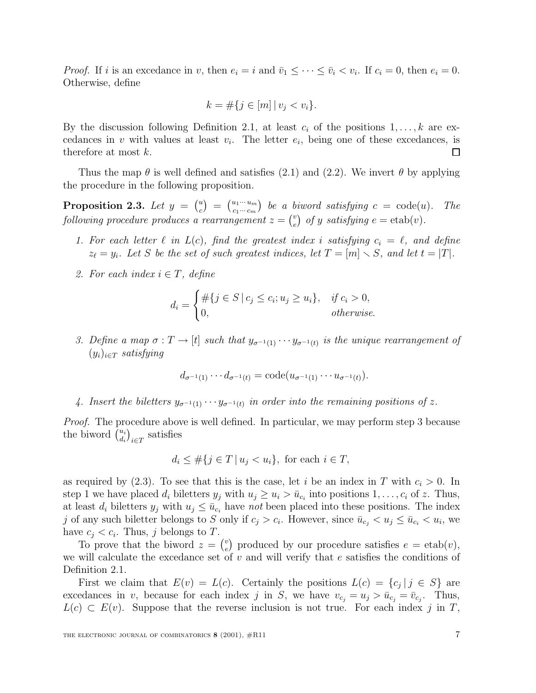*Proof.* If i is an excedance in v, then  $e_i = i$  and  $\bar{v}_1 \leq \cdots \leq \bar{v}_i < v_i$ . If  $c_i = 0$ , then  $e_i = 0$ . Otherwise, define

$$
k = \#\{j \in [m] \, | \, v_j < v_i\}.
$$

By the discussion following Definition 2.1, at least  $c_i$  of the positions  $1,\ldots,k$  are excedances in v with values at least  $v_i$ . The letter  $e_i$ , being one of these excedances, is therefore at most k. ◻

Thus the map  $\theta$  is well defined and satisfies (2.1) and (2.2). We invert  $\theta$  by applying the procedure in the following proposition.

**Proposition 2.3.** Let  $y = \begin{pmatrix} u \\ c \end{pmatrix} = \begin{pmatrix} u_1 \cdots u_m \\ c_1 \cdots c_m \end{pmatrix}$  be a biword satisfying  $c = \text{code}(u)$ . The following procedure produces a rearrangement  $z = \begin{pmatrix} v \\ e \end{pmatrix}$  of y satisfying  $e = \text{etab}(v)$ .

- 1. For each letter  $\ell$  in  $L(c)$ , find the greatest index i satisfying  $c_i = \ell$ , and define  $z_{\ell} = y_i$ . Let S be the set of such greatest indices, let  $T = [m] \setminus S$ , and let  $t = |T|$ .
- 2. For each index  $i \in T$ , define

$$
d_i = \begin{cases} \#\{j \in S \mid c_j \le c_i; u_j \ge u_i\}, & \text{if } c_i > 0, \\ 0, & \text{otherwise.} \end{cases}
$$

3. Define a map  $\sigma: T \to [t]$  such that  $y_{\sigma^{-1}(1)} \cdots y_{\sigma^{-1}(t)}$  is the unique rearrangement of  $(y_i)_{i \in \mathcal{T}}$  satisfying

$$
d_{\sigma^{-1}(1)} \cdots d_{\sigma^{-1}(t)} = \text{code}(u_{\sigma^{-1}(1)} \cdots u_{\sigma^{-1}(t)}).
$$

4. Insert the biletters  $y_{\sigma^{-1}(1)} \cdots y_{\sigma^{-1}(t)}$  in order into the remaining positions of z.

Proof. The procedure above is well defined. In particular, we may perform step 3 because the biword  $\begin{pmatrix} u_i \\ d_i \end{pmatrix}$  $i \in T$  satisfies

$$
d_i \leq \#\{j \in T \mid u_j < u_i\}, \text{ for each } i \in T,
$$

as required by (2.3). To see that this is the case, let i be an index in T with  $c_i > 0$ . In step 1 we have placed  $d_i$  biletters  $y_j$  with  $u_j \geq u_i > \bar{u}_{c_i}$  into positions  $1, \ldots, c_i$  of z. Thus, at least  $d_i$  biletters  $y_j$  with  $u_j \leq \bar{u}_{c_i}$  have not been placed into these positions. The index j of any such biletter belongs to S only if  $c_j > c_i$ . However, since  $\bar{u}_{c_i} < u_j \le \bar{u}_{c_i} < u_i$ , we have  $c_i < c_i$ . Thus, j belongs to T.

To prove that the biword  $z = \binom{v}{e}$  produced by our procedure satisfies  $e = \text{etab}(v)$ , we will calculate the excedance set of  $v$  and will verify that  $e$  satisfies the conditions of Definition 2.1.

First we claim that  $E(v) = L(c)$ . Certainly the positions  $L(c) = \{c_j | j \in S\}$  are excedances in v, because for each index j in S, we have  $v_{c_j} = u_j > \bar{u}_{c_j} = \bar{v}_{c_j}$ . Thus,  $L(c) \subset E(v)$ . Suppose that the reverse inclusion is not true. For each index j in T,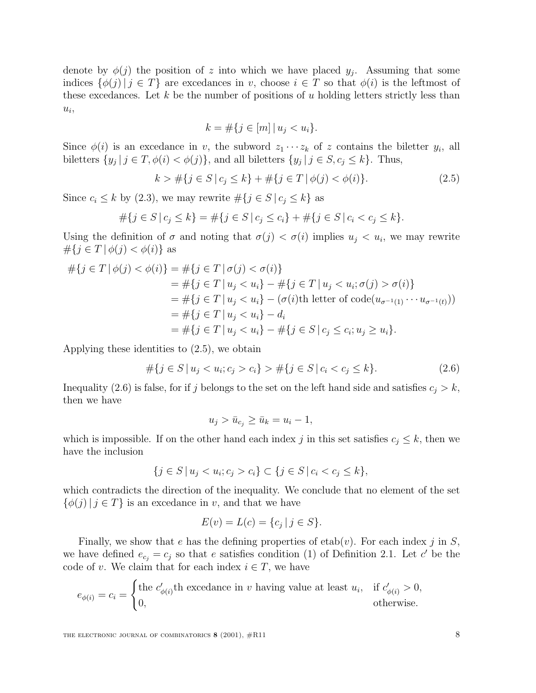denote by  $\phi(j)$  the position of z into which we have placed  $y_j$ . Assuming that some indices  $\{\phi(j) | j \in T\}$  are excedances in v, choose  $i \in T$  so that  $\phi(i)$  is the leftmost of these excedances. Let k be the number of positions of u holding letters strictly less than  $u_i$ ,

$$
k = \#\{j \in [m] \, | \, u_j < u_i\}.
$$

Since  $\phi(i)$  is an excedance in v, the subword  $z_1 \cdots z_k$  of z contains the biletter  $y_i$ , all biletters  $\{y_j | j \in T, \phi(i) < \phi(j)\}\$ , and all biletters  $\{y_j | j \in S, c_j \leq k\}\$ . Thus,

$$
k > #\{j \in S \mid c_j \le k\} + #\{j \in T \mid \phi(j) < \phi(i)\}.\tag{2.5}
$$

Since  $c_i \le k$  by (2.3), we may rewrite  $\#\{j \in S \mid c_j \le k\}$  as

$$
#\{j \in S \mid c_j \le k\} = #\{j \in S \mid c_j \le c_i\} + #\{j \in S \mid c_i < c_j \le k\}.
$$

Using the definition of  $\sigma$  and noting that  $\sigma(j) < \sigma(i)$  implies  $u_j < u_i$ , we may rewrite  $\#\{j \in T \, | \, \phi(j) < \phi(i)\}\$ as

$$
\# \{ j \in T \mid \phi(j) < \phi(i) \} = \# \{ j \in T \mid \sigma(j) < \sigma(i) \} \\
= \# \{ j \in T \mid u_j < u_i \} - \# \{ j \in T \mid u_j < u_i; \sigma(j) > \sigma(i) \} \\
= \# \{ j \in T \mid u_j < u_i \} - (\sigma(i) \text{th letter of code}(u_{\sigma^{-1}(1)} \cdots u_{\sigma^{-1}(t)})) \\
= \# \{ j \in T \mid u_j < u_i \} - d_i \\
= \# \{ j \in T \mid u_j < u_i \} - \# \{ j \in S \mid c_j \le c_i; u_j \ge u_i \}.
$$

Applying these identities to (2.5), we obtain

$$
\#\{j \in S \mid u_j < u_i; c_j > c_i\} > \#\{j \in S \mid c_i < c_j \le k\}.\tag{2.6}
$$

Inequality (2.6) is false, for if j belongs to the set on the left hand side and satisfies  $c_j > k$ , then we have

$$
u_j > \bar{u}_{c_j} \ge \bar{u}_k = u_i - 1,
$$

which is impossible. If on the other hand each index j in this set satisfies  $c_j \leq k$ , then we have the inclusion

$$
\{j \in S \mid u_j < u_i; c_j > c_i\} \subset \{j \in S \mid c_i < c_j \le k\},\
$$

which contradicts the direction of the inequality. We conclude that no element of the set  $\{\phi(j) | j \in T\}$  is an excedance in v, and that we have

$$
E(v) = L(c) = \{c_j \mid j \in S\}.
$$

Finally, we show that e has the defining properties of etab(v). For each index j in  $S$ , we have defined  $e_{c_i} = c_j$  so that e satisfies condition (1) of Definition 2.1. Let c' be the code of v. We claim that for each index  $i \in T$ , we have

$$
e_{\phi(i)} = c_i = \begin{cases} \text{the } c'_{\phi(i)} \text{th exceedance in } v \text{ having value at least } u_i, & \text{if } c'_{\phi(i)} > 0, \\ 0, & \text{otherwise.} \end{cases}
$$

THE ELECTRONIC JOURNAL OF COMBINATORICS **8** (2001),  $\#R11$  8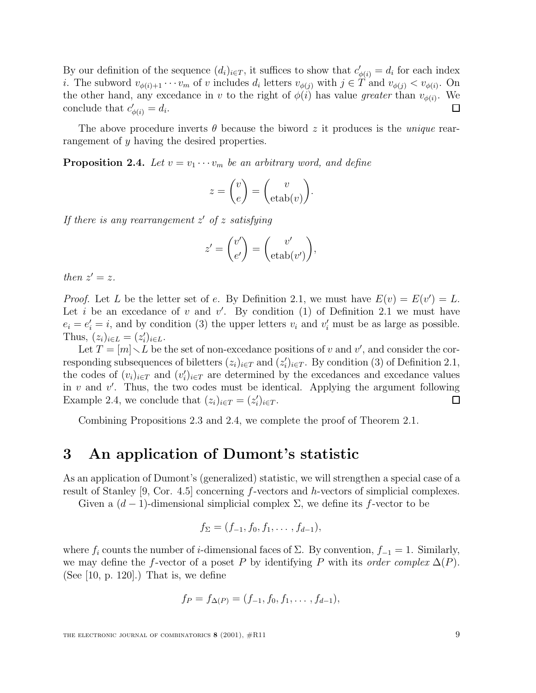By our definition of the sequence  $(d_i)_{i \in T}$ , it suffices to show that  $c'_{\phi(i)} = d_i$  for each index *i*. The subword  $v_{\phi(i)+1} \cdots v_m$  of v includes  $d_i$  letters  $v_{\phi(j)}$  with  $j \in T$  and  $v_{\phi(j)} < v_{\phi(i)}$ . On the other hand, any excedance in v to the right of  $\phi(i)$  has value greater than  $v_{\phi(i)}$ . We conclude that  $c'_{\phi(i)} = d_i$ . П

The above procedure inverts  $\theta$  because the biword z it produces is the *unique* rearrangement of y having the desired properties.

**Proposition 2.4.** Let  $v = v_1 \cdots v_m$  be an arbitrary word, and define

$$
z = \begin{pmatrix} v \\ e \end{pmatrix} = \begin{pmatrix} v \\ \text{etab}(v) \end{pmatrix}.
$$

If there is any rearrangement  $z'$  of z satisfying

$$
z' = \begin{pmatrix} v' \\ e' \end{pmatrix} = \begin{pmatrix} v' \\ \text{etab}(v') \end{pmatrix},
$$

then  $z' = z$ .

*Proof.* Let L be the letter set of e. By Definition 2.1, we must have  $E(v) = E(v') = L$ . Let i be an excedance of v and v'. By condition (1) of Definition 2.1 we must have  $e_i = e'_i = i$ , and by condition (3) the upper letters  $v_i$  and  $v'_i$  must be as large as possible. Thus,  $(z_i)_{i \in L} = (z'_i)_{i \in L}$ .

Let  $T = [m] \setminus L$  be the set of non-excedance positions of v and v', and consider the corresponding subsequences of biletters  $(z_i)_{i \in T}$  and  $(z'_i)_{i \in T}$ . By condition (3) of Definition 2.1, the codes of  $(v_i)_{i \in T}$  and  $(v_i')_{i \in T}$  are determined by the excedances and excedance values in v and v'. Thus, the two codes must be identical. Applying the argument following Example 2.4, we conclude that  $(z_i)_{i \in T} = (z'_i)_{i \in T}$ . П

Combining Propositions 2.3 and 2.4, we complete the proof of Theorem 2.1.

### **3 An application of Dumont's statistic**

As an application of Dumont's (generalized) statistic, we will strengthen a special case of a result of Stanley [9, Cor. 4.5] concerning f-vectors and h-vectors of simplicial complexes.

Given a  $(d-1)$ -dimensional simplicial complex  $\Sigma$ , we define its f-vector to be

$$
f_{\Sigma} = (f_{-1}, f_0, f_1, \ldots, f_{d-1}),
$$

where  $f_i$  counts the number of *i*-dimensional faces of  $\Sigma$ . By convention,  $f_{-1} = 1$ . Similarly, we may define the f-vector of a poset P by identifying P with its order complex  $\Delta(P)$ . (See  $[10, p. 120]$ .) That is, we define

$$
f_P = f_{\Delta(P)} = (f_{-1}, f_0, f_1, \dots, f_{d-1}),
$$

THE ELECTRONIC JOURNAL OF COMBINATORICS **8** (2001),  $#R11$  9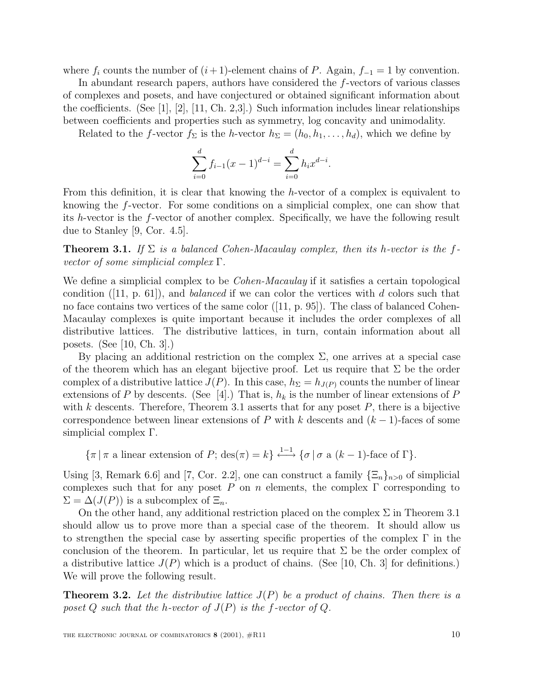where  $f_i$  counts the number of  $(i+1)$ -element chains of P. Again,  $f_{-1} = 1$  by convention.

In abundant research papers, authors have considered the f-vectors of various classes of complexes and posets, and have conjectured or obtained significant information about the coefficients. (See [1], [2], [11, Ch. 2,3].) Such information includes linear relationships between coefficients and properties such as symmetry, log concavity and unimodality.

Related to the f-vector  $f_{\Sigma}$  is the h-vector  $h_{\Sigma} = (h_0, h_1, \ldots, h_d)$ , which we define by

$$
\sum_{i=0}^{d} f_{i-1}(x-1)^{d-i} = \sum_{i=0}^{d} h_i x^{d-i}.
$$

From this definition, it is clear that knowing the h-vector of a complex is equivalent to knowing the f-vector. For some conditions on a simplicial complex, one can show that its h-vector is the f-vector of another complex. Specifically, we have the following result due to Stanley [9, Cor. 4.5].

**Theorem 3.1.** If  $\Sigma$  is a balanced Cohen-Macaulay complex, then its h-vector is the fvector of some simplicial complex  $\Gamma$ .

We define a simplicial complex to be *Cohen-Macaulay* if it satisfies a certain topological condition ([11, p. 61]), and *balanced* if we can color the vertices with d colors such that no face contains two vertices of the same color  $([11, p. 95])$ . The class of balanced Cohen-Macaulay complexes is quite important because it includes the order complexes of all distributive lattices. The distributive lattices, in turn, contain information about all posets. (See [10, Ch. 3].)

By placing an additional restriction on the complex  $\Sigma$ , one arrives at a special case of the theorem which has an elegant bijective proof. Let us require that  $\Sigma$  be the order complex of a distributive lattice  $J(P)$ . In this case,  $h_{\Sigma} = h_{J(P)}$  counts the number of linear extensions of P by descents. (See [4].) That is,  $h_k$  is the number of linear extensions of P with k descents. Therefore, Theorem 3.1 asserts that for any poset  $P$ , there is a bijective correspondence between linear extensions of P with k descents and  $(k-1)$ -faces of some simplicial complex Γ.

 ${\lbrace \pi | \pi \text{ a linear extension of } P; \text{des}(\pi) = k \rbrace} \stackrel{1-1}{\longleftrightarrow} {\lbrace \sigma | \sigma \text{ a } (k-1) \text{-face of } \Gamma \rbrace}.$ 

Using [3, Remark 6.6] and [7, Cor. 2.2], one can construct a family  $\{\Xi_n\}_{n>0}$  of simplicial complexes such that for any poset P on n elements, the complex  $\Gamma$  corresponding to  $\Sigma = \Delta(J(P))$  is a subcomplex of  $\Xi_n$ .

On the other hand, any additional restriction placed on the complex  $\Sigma$  in Theorem 3.1 should allow us to prove more than a special case of the theorem. It should allow us to strengthen the special case by asserting specific properties of the complex  $\Gamma$  in the conclusion of the theorem. In particular, let us require that  $\Sigma$  be the order complex of a distributive lattice  $J(P)$  which is a product of chains. (See [10, Ch. 3] for definitions.) We will prove the following result.

**Theorem 3.2.** Let the distributive lattice  $J(P)$  be a product of chains. Then there is a poset Q such that the h-vector of  $J(P)$  is the f-vector of Q.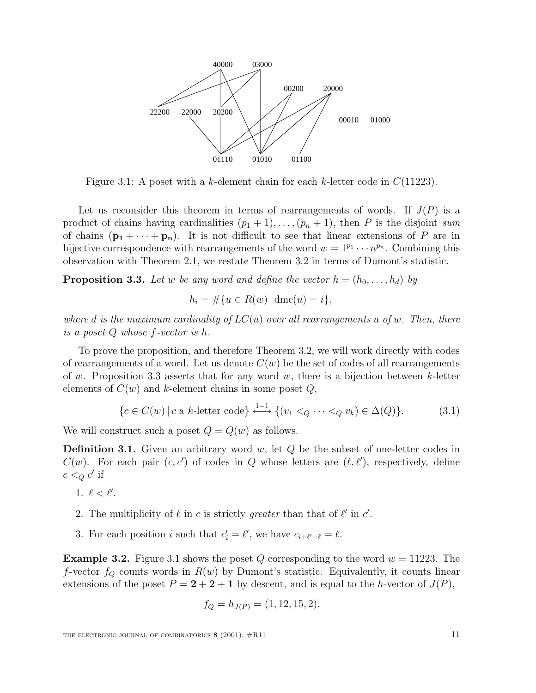

Figure 3.1: A poset with a k-element chain for each k-letter code in  $C(11223)$ .

Let us reconsider this theorem in terms of rearrangements of words. If  $J(P)$  is a product of chains having cardinalities  $(p_1 + 1), \ldots, (p_n + 1)$ , then P is the disjoint sum of chains  $(\mathbf{p}_1 + \cdots + \mathbf{p}_n)$ . It is not difficult to see that linear extensions of P are in bijective correspondence with rearrangements of the word  $w = 1^{p_1} \cdots n^{p_n}$ . Combining this observation with Theorem 2.1, we restate Theorem 3.2 in terms of Dumont's statistic.

**Proposition 3.3.** Let w be any word and define the vector  $h = (h_0, \ldots, h_d)$  by

$$
h_i = \# \{ u \in R(w) \, | \, \text{dmc}(u) = i \},
$$

where d is the maximum cardinality of  $LC(u)$  over all rearrangements u of w. Then, there is a poset Q whose f-vector is h.

To prove the proposition, and therefore Theorem 3.2, we will work directly with codes of rearrangements of a word. Let us denote  $C(w)$  be the set of codes of all rearrangements of w. Proposition 3.3 asserts that for any word w, there is a bijection between k-letter elements of  $C(w)$  and k-element chains in some poset  $Q$ ,

$$
\{c \in C(w) \mid c \text{ a } k\text{-letter code}\} \xrightarrow{1-1} \{ (v_1 <_{Q} \cdots <_{Q} v_k) \in \Delta(Q) \}. \tag{3.1}
$$

We will construct such a poset  $Q = Q(w)$  as follows.

**Definition 3.1.** Given an arbitrary word w, let Q be the subset of one-letter codes in  $C(w)$ . For each pair  $(c, c')$  of codes in Q whose letters are  $(\ell, \ell')$ , respectively, define  $c <_{Q} c'$  if

- 1.  $\ell < \ell'$ .
- 2. The multiplicity of  $\ell$  in c is strictly greater than that of  $\ell'$  in  $c'$ .
- 3. For each position *i* such that  $c_i' = \ell'$ , we have  $c_{i+\ell'-\ell} = \ell$ .

**Example 3.2.** Figure 3.1 shows the poset Q corresponding to the word  $w = 11223$ . The f-vector  $f_Q$  counts words in  $R(w)$  by Dumont's statistic. Equivalently, it counts linear extensions of the poset  $P = 2 + 2 + 1$  by descent, and is equal to the h-vector of  $J(P)$ ,

$$
f_Q = h_{J(P)} = (1, 12, 15, 2).
$$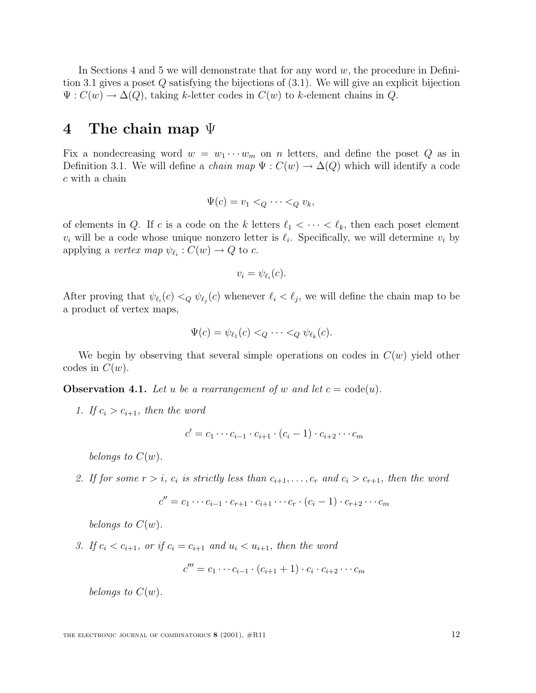In Sections 4 and 5 we will demonstrate that for any word  $w$ , the procedure in Definition 3.1 gives a poset  $Q$  satisfying the bijections of  $(3.1)$ . We will give an explicit bijection  $\Psi: C(w) \to \Delta(Q)$ , taking k-letter codes in  $C(w)$  to k-element chains in Q.

### **4 The chain map** Ψ

Fix a nondecreasing word  $w = w_1 \cdots w_m$  on n letters, and define the poset Q as in Definition 3.1. We will define a *chain map*  $\Psi : C(w) \to \Delta(Q)$  which will identify a code c with a chain

$$
\Psi(c) = v_1 <_{Q} \cdots <_{Q} v_k,
$$

of elements in Q. If c is a code on the k letters  $\ell_1 < \cdots < \ell_k$ , then each poset element  $v_i$  will be a code whose unique nonzero letter is  $\ell_i$ . Specifically, we will determine  $v_i$  by applying a vertex map  $\psi_{\ell_i} : C(w) \to Q$  to c.

$$
v_i = \psi_{\ell_i}(c).
$$

After proving that  $\psi_{\ell_i}(c) <_Q \psi_{\ell_j}(c)$  whenever  $\ell_i < \ell_j$ , we will define the chain map to be a product of vertex maps,

$$
\Psi(c) = \psi_{\ell_1}(c) <_{Q} \cdots <_{Q} \psi_{\ell_k}(c).
$$

We begin by observing that several simple operations on codes in  $C(w)$  yield other codes in  $C(w)$ .

**Observation 4.1.** Let u be a rearrangement of w and let  $c = \text{code}(u)$ .

1. If  $c_i > c_{i+1}$ , then the word

$$
c' = c_1 \cdots c_{i-1} \cdot c_{i+1} \cdot (c_i - 1) \cdot c_{i+2} \cdots c_m
$$

belongs to  $C(w)$ .

2. If for some  $r>i$ ,  $c_i$  is strictly less than  $c_{i+1},\ldots,c_r$  and  $c_i > c_{r+1}$ , then the word

$$
c'' = c_1 \cdots c_{i-1} \cdot c_{r+1} \cdot c_{i+1} \cdots c_r \cdot (c_i - 1) \cdot c_{r+2} \cdots c_m
$$

belongs to  $C(w)$ .

3. If  $c_i < c_{i+1}$ , or if  $c_i = c_{i+1}$  and  $u_i < u_{i+1}$ , then the word

$$
c''' = c_1 \cdots c_{i-1} \cdot (c_{i+1}+1) \cdot c_i \cdot c_{i+2} \cdots c_m
$$

belongs to  $C(w)$ .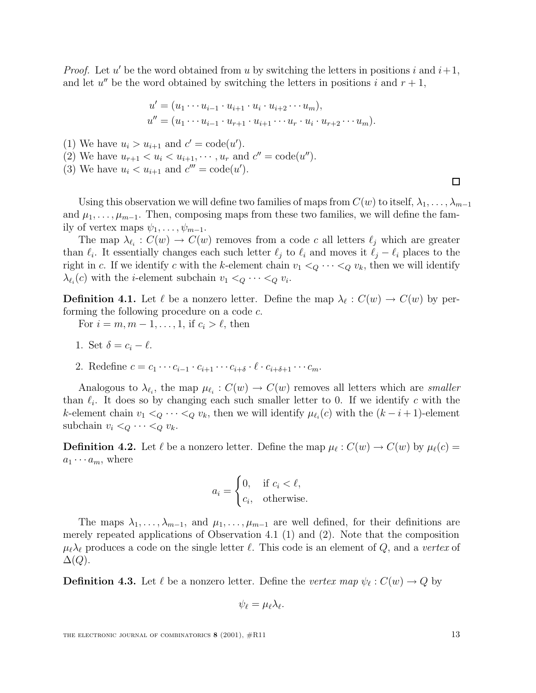*Proof.* Let u' be the word obtained from u by switching the letters in positions i and  $i+1$ , and let u'' be the word obtained by switching the letters in positions i and  $r + 1$ ,

$$
u' = (u_1 \cdots u_{i-1} \cdot u_{i+1} \cdot u_i \cdot u_{i+2} \cdots u_m),
$$
  

$$
u'' = (u_1 \cdots u_{i-1} \cdot u_{r+1} \cdot u_{i+1} \cdots u_r \cdot u_i \cdot u_{r+2} \cdots u_m).
$$

- (1) We have  $u_i > u_{i+1}$  and  $c' = \text{code}(u')$ .
- (2) We have  $u_{r+1} < u_i < u_{i+1}, \cdots, u_r$  and  $c'' = \text{code}(u'')$ .
- (3) We have  $u_i < u_{i+1}$  and  $c''' = \text{code}(u')$ .

Using this observation we will define two families of maps from  $C(w)$  to itself,  $\lambda_1, \ldots, \lambda_{m-1}$ and  $\mu_1,\ldots,\mu_{m-1}$ . Then, composing maps from these two families, we will define the family of vertex maps  $\psi_1, \ldots, \psi_{m-1}$ .

The map  $\lambda_{\ell_i} : C(w) \to C(w)$  removes from a code c all letters  $\ell_j$  which are greater than  $\ell_i$ . It essentially changes each such letter  $\ell_j$  to  $\ell_i$  and moves it  $\ell_j - \ell_i$  places to the right in c. If we identify c with the k-element chain  $v_1 <_Q \cdots <_Q v_k$ , then we will identify  $\lambda_{\ell_i}(c)$  with the *i*-element subchain  $v_1 <_{Q} \cdots <_{Q} v_i$ .

**Definition 4.1.** Let  $\ell$  be a nonzero letter. Define the map  $\lambda_{\ell} : C(w) \to C(w)$  by performing the following procedure on a code c.

For  $i = m, m - 1, \ldots, 1$ , if  $c_i > \ell$ , then

- 1. Set  $\delta = c_i \ell$ .
- 2. Redefine  $c = c_1 \cdots c_{i-1} \cdot c_{i+1} \cdots c_{i+\delta} \cdot \ell \cdot c_{i+\delta+1} \cdots c_m$ .

Analogous to  $\lambda_{\ell_i}$ , the map  $\mu_{\ell_i} : C(w) \to C(w)$  removes all letters which are smaller than  $\ell_i$ . It does so by changing each such smaller letter to 0. If we identify c with the k-element chain  $v_1 <_{Q} \cdots <_{Q} v_k$ , then we will identify  $\mu_{\ell_i} (c)$  with the  $(k - i + 1)$ -element subchain  $v_i \leq_Q \cdots \leq_Q v_k$ .

**Definition 4.2.** Let  $\ell$  be a nonzero letter. Define the map  $\mu_{\ell} : C(w) \to C(w)$  by  $\mu_{\ell}(c) =$  $a_1 \cdots a_m$ , where

$$
a_i = \begin{cases} 0, & \text{if } c_i < \ell, \\ c_i, & \text{otherwise.} \end{cases}
$$

The maps  $\lambda_1,\ldots,\lambda_{m-1}$ , and  $\mu_1,\ldots,\mu_{m-1}$  are well defined, for their definitions are merely repeated applications of Observation 4.1 (1) and (2). Note that the composition  $\mu_{\ell} \lambda_{\ell}$  produces a code on the single letter  $\ell$ . This code is an element of Q, and a vertex of  $\Delta(Q)$ .

**Definition 4.3.** Let  $\ell$  be a nonzero letter. Define the vertex map  $\psi_{\ell} : C(w) \to Q$  by

$$
\psi_{\ell}=\mu_{\ell}\lambda_{\ell}.
$$

THE ELECTRONIC JOURNAL OF COMBINATORICS **8** (2001),  $\#R11$  13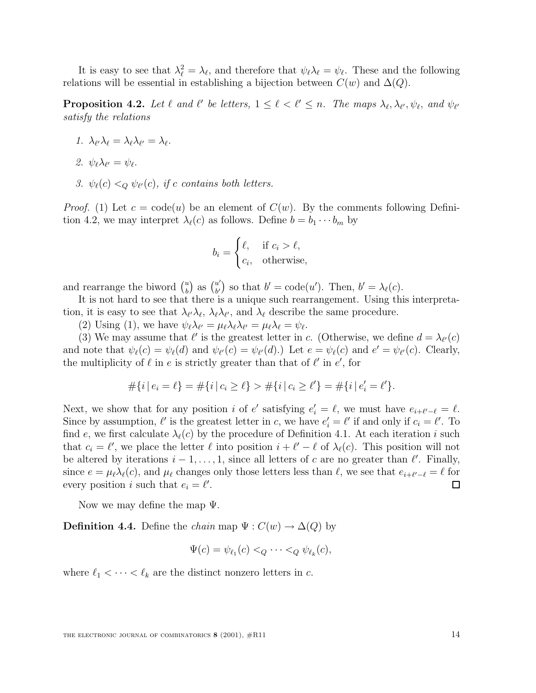It is easy to see that  $\lambda_\ell^2 = \lambda_\ell$ , and therefore that  $\psi_\ell \lambda_\ell = \psi_\ell$ . These and the following relations will be essential in establishing a bijection between  $C(w)$  and  $\Delta(Q)$ .

**Proposition 4.2.** Let  $\ell$  and  $\ell'$  be letters,  $1 \leq \ell < \ell' \leq n$ . The maps  $\lambda_{\ell}, \lambda_{\ell'}, \psi_{\ell}$ , and  $\psi_{\ell'}$ satisfy the relations

- 1.  $\lambda_{\ell'}\lambda_{\ell} = \lambda_{\ell}\lambda_{\ell'} = \lambda_{\ell}.$
- 2.  $\psi_{\ell} \lambda_{\ell'} = \psi_{\ell}$ .
- 3.  $\psi_{\ell}(c) <_{Q} \psi_{\ell}(c)$ , if c contains both letters.

*Proof.* (1) Let  $c = \text{code}(u)$  be an element of  $C(w)$ . By the comments following Definition 4.2, we may interpret  $\lambda_{\ell}(c)$  as follows. Define  $b = b_1 \cdots b_m$  by

$$
b_i = \begin{cases} \ell, & \text{if } c_i > \ell, \\ c_i, & \text{otherwise,} \end{cases}
$$

and rearrange the biword  $\binom{u}{b}$  as  $\binom{u'}{b'}$  so that  $b' = \text{code}(u')$ . Then,  $b' = \lambda_{\ell}(c)$ .

It is not hard to see that there is a unique such rearrangement. Using this interpretation, it is easy to see that  $\lambda_{\ell'}\lambda_{\ell}, \lambda_{\ell}\lambda_{\ell'}$ , and  $\lambda_{\ell}$  describe the same procedure.

(2) Using (1), we have  $\psi_{\ell} \lambda_{\ell'} = \mu_{\ell} \lambda_{\ell} \lambda_{\ell'} = \mu_{\ell} \lambda_{\ell} = \psi_{\ell}$ .

(3) We may assume that  $\ell'$  is the greatest letter in c. (Otherwise, we define  $d = \lambda_{\ell'}(c)$ and note that  $\psi_{\ell}(c) = \psi_{\ell}(d)$  and  $\psi_{\ell}(c) = \psi_{\ell}(d)$ .) Let  $e = \psi_{\ell}(c)$  and  $e' = \psi_{\ell}(c)$ . Clearly, the multiplicity of  $\ell$  in e is strictly greater than that of  $\ell'$  in  $e'$ , for

$$
#\{i \mid e_i = \ell\} = #\{i \mid c_i \ge \ell\} > #\{i \mid c_i \ge \ell'\} = #\{i \mid e'_i = \ell'\}.
$$

Next, we show that for any position *i* of e' satisfying  $e'_i = \ell$ , we must have  $e_{i+\ell'-\ell} = \ell$ . Since by assumption,  $\ell'$  is the greatest letter in c, we have  $e'_i = \ell'$  if and only if  $c_i = \ell'$ . To find e, we first calculate  $\lambda_{\ell}(c)$  by the procedure of Definition 4.1. At each iteration i such that  $c_i = \ell'$ , we place the letter  $\ell$  into position  $i + \ell' - \ell$  of  $\lambda_{\ell}(c)$ . This position will not be altered by iterations  $i - 1, \ldots, 1$ , since all letters of c are no greater than  $\ell'$ . Finally, since  $e = \mu_\ell \lambda_\ell(c)$ , and  $\mu_\ell$  changes only those letters less than  $\ell$ , we see that  $e_{i+\ell'-\ell} = \ell$  for every position  $i$  such that  $e_i = \ell'$ . every position *i* such that  $e_i = \ell'$ .

Now we may define the map  $\Psi$ .

**Definition 4.4.** Define the *chain* map  $\Psi : C(w) \to \Delta(Q)$  by

$$
\Psi(c) = \psi_{\ell_1}(c) <_{Q} \cdots <_{Q} \psi_{\ell_k}(c),
$$

where  $\ell_1 < \cdots < \ell_k$  are the distinct nonzero letters in c.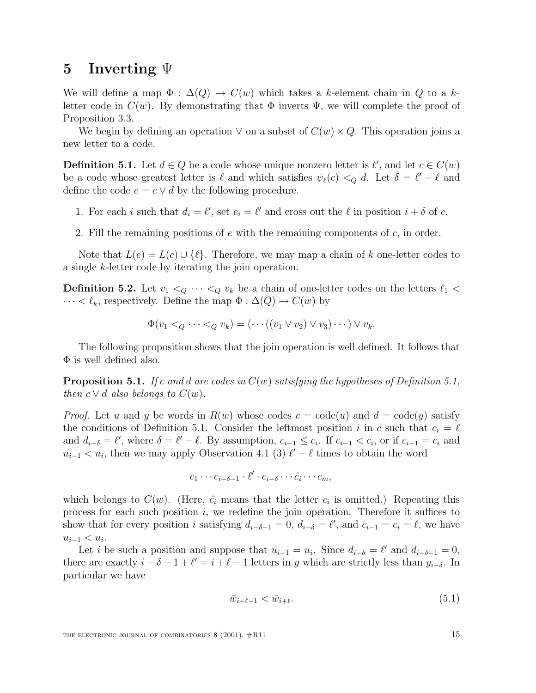#### **5 Inverting** Ψ

We will define a map  $\Phi : \Delta(Q) \to C(w)$  which takes a k-element chain in Q to a kletter code in  $C(w)$ . By demonstrating that  $\Phi$  inverts  $\Psi$ , we will complete the proof of Proposition 3.3.

We begin by defining an operation  $\vee$  on a subset of  $C(w) \times Q$ . This operation joins a new letter to a code.

**Definition 5.1.** Let  $d \in Q$  be a code whose unique nonzero letter is  $\ell'$ , and let  $c \in C(w)$ be a code whose greatest letter is  $\ell$  and which satisfies  $\psi_{\ell}(c) <_{Q} d$ . Let  $\delta = \ell' - \ell$  and define the code  $e = c \vee d$  by the following procedure.

- 1. For each i such that  $d_i = \ell'$ , set  $e_i = \ell'$  and cross out the  $\ell$  in position  $i + \delta$  of c.
- 2. Fill the remaining positions of  $e$  with the remaining components of  $c$ , in order.

Note that  $L(e) = L(c) \cup {\ell}$ . Therefore, we may map a chain of k one-letter codes to a single k-letter code by iterating the join operation.

**Definition 5.2.** Let  $v_1 <_Q \cdots <_Q v_k$  be a chain of one-letter codes on the letters  $\ell_1 <$  $\cdots < \ell_k$ , respectively. Define the map  $\Phi : \Delta(Q) \to C(w)$  by

$$
\Phi(v_1 <_Q \cdots <_Q v_k) = (\cdots ((v_1 \vee v_2) \vee v_3) \cdots) \vee v_k.
$$

The following proposition shows that the join operation is well defined. It follows that  $\Phi$  is well defined also.

**Proposition 5.1.** If c and d are codes in  $C(w)$  satisfying the hypotheses of Definition 5.1, then  $c \vee d$  also belongs to  $C(w)$ .

*Proof.* Let u and y be words in  $R(w)$  whose codes  $c = \text{code}(u)$  and  $d = \text{code}(y)$  satisfy the conditions of Definition 5.1. Consider the leftmost position i in c such that  $c_i = \ell$ and  $d_{i-\delta} = \ell'$ , where  $\delta = \ell' - \ell$ . By assumption,  $c_{i-1} \leq c_i$ . If  $c_{i-1} < c_i$ , or if  $c_{i-1} = c_i$  and  $u_{i-1} < u_i$ , then we may apply Observation 4.1 (3)  $\ell' - \ell$  times to obtain the word

$$
c_1 \cdots c_{i-\delta-1} \cdot \ell' \cdot c_{i-\delta} \cdots \hat{c}_i \cdots c_m,
$$

which belongs to  $C(w)$ . (Here,  $\hat{c}_i$  means that the letter  $c_i$  is omitted.) Repeating this process for each such position  $i$ , we redefine the join operation. Therefore it suffices to show that for every position *i* satisfying  $d_{i-\delta-1} = 0$ ,  $d_{i-\delta} = \ell'$ , and  $c_{i-1} = c_i = \ell$ , we have  $u_{i-1} < u_i$ .

Let i be such a position and suppose that  $u_{i-1} = u_i$ . Since  $d_{i-\delta} = \ell'$  and  $d_{i-\delta-1} = 0$ , there are exactly  $i - \delta - 1 + \ell' = i + \ell - 1$  letters in y which are strictly less than  $y_{i-\delta}$ . In particular we have

$$
\bar{w}_{i+\ell-1} < \bar{w}_{i+\ell}.\tag{5.1}
$$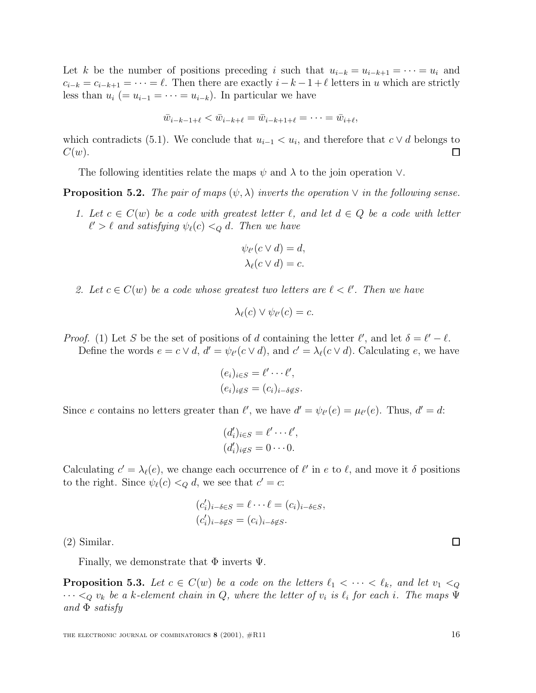Let k be the number of positions preceding i such that  $u_{i-k} = u_{i-k+1} = \cdots = u_i$  and  $c_{i-k} = c_{i-k+1} = \cdots = \ell$ . Then there are exactly  $i-k-1+\ell$  letters in u which are strictly less than  $u_i$  (=  $u_{i-1}$  =  $\cdots$  =  $u_{i-k}$ ). In particular we have

$$
\bar{w}_{i-k-1+\ell} < \bar{w}_{i-k+\ell} = \bar{w}_{i-k+1+\ell} = \cdots = \bar{w}_{i+\ell},
$$

which contradicts (5.1). We conclude that  $u_{i-1} < u_i$ , and therefore that  $c \vee d$  belongs to  $C(w)$ .  $C(w).$ 

The following identities relate the maps  $\psi$  and  $\lambda$  to the join operation  $\vee$ .

**Proposition 5.2.** The pair of maps  $(\psi, \lambda)$  inverts the operation  $\vee$  in the following sense.

1. Let  $c \in C(w)$  be a code with greatest letter  $\ell$ , and let  $d \in Q$  be a code with letter  $\ell' > \ell$  and satisfying  $\psi_{\ell}(c) <_{Q} d$ . Then we have

$$
\psi_{\ell'}(c \vee d) = d, \lambda_{\ell}(c \vee d) = c.
$$

2. Let  $c \in C(w)$  be a code whose greatest two letters are  $\ell < \ell'$ . Then we have

$$
\lambda_{\ell}(c) \vee \psi_{\ell'}(c) = c.
$$

*Proof.* (1) Let S be the set of positions of d containing the letter  $\ell'$ , and let  $\delta = \ell' - \ell$ . Define the words  $e = c \vee d$ ,  $d' = \psi_{\ell'}(c \vee d)$ , and  $c' = \lambda_{\ell}(c \vee d)$ . Calculating e, we have

$$
(e_i)_{i \in S} = \ell' \cdots \ell',
$$
  

$$
(e_i)_{i \notin S} = (c_i)_{i - \delta \notin S}.
$$

Since e contains no letters greater than  $\ell'$ , we have  $d' = \psi_{\ell'}(e) = \mu_{\ell'}(e)$ . Thus,  $d' = d$ :

$$
(d'_i)_{i \in S} = \ell' \cdots \ell',
$$
  

$$
(d'_i)_{i \notin S} = 0 \cdots 0.
$$

Calculating  $c' = \lambda_{\ell}(e)$ , we change each occurrence of  $\ell'$  in e to  $\ell$ , and move it  $\delta$  positions to the right. Since  $\psi_{\ell}(c) <_{Q} d$ , we see that  $c' = c$ :

$$
(c'_i)_{i-\delta \in S} = \ell \cdots \ell = (c_i)_{i-\delta \in S},
$$
  

$$
(c'_i)_{i-\delta \notin S} = (c_i)_{i-\delta \notin S}.
$$

(2) Similar.

Finally, we demonstrate that  $\Phi$  inverts  $\Psi$ .

**Proposition 5.3.** Let  $c \in C(w)$  be a code on the letters  $\ell_1 < \cdots < \ell_k$ , and let  $v_1 <_Q$  $\cdots <_Q v_k$  be a k-element chain in Q, where the letter of  $v_i$  is  $\ell_i$  for each i. The maps  $\Psi$ and  $\Phi$  satisfy

 $\Box$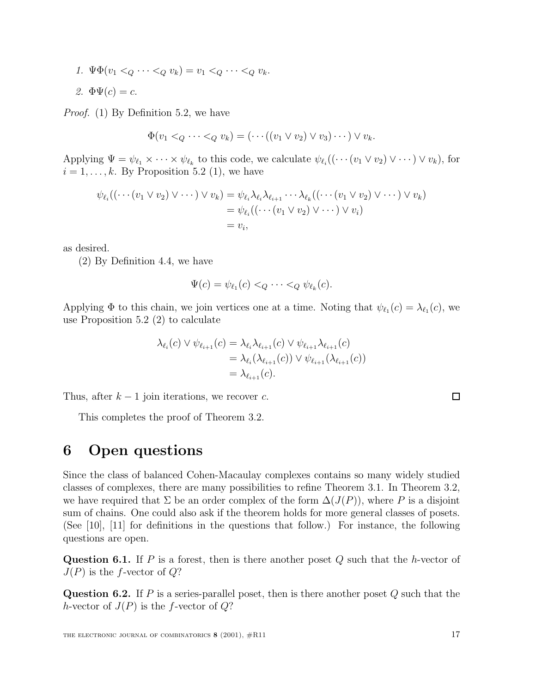1.  $\Psi \Phi(v_1 \leq_Q \cdots \leq_Q v_k) = v_1 \leq_Q \cdots \leq_Q v_k$ . 2.  $\Phi\Psi(c) = c$ .

Proof. (1) By Definition 5.2, we have

$$
\Phi(v_1 <_Q \cdots <_Q v_k) = (\cdots ((v_1 \vee v_2) \vee v_3) \cdots) \vee v_k.
$$

Applying  $\Psi = \psi_{\ell_1} \times \cdots \times \psi_{\ell_k}$  to this code, we calculate  $\psi_{\ell_i} ((\cdots (v_1 \vee v_2) \vee \cdots) \vee v_k)$ , for  $i = 1, \ldots, k$ . By Proposition 5.2 (1), we have

$$
\psi_{\ell_i}((\cdots(v_1 \vee v_2) \vee \cdots) \vee v_k) = \psi_{\ell_i} \lambda_{\ell_i} \lambda_{\ell_{i+1}} \cdots \lambda_{\ell_k}((\cdots(v_1 \vee v_2) \vee \cdots) \vee v_k)
$$
  
=  $\psi_{\ell_i}((\cdots(v_1 \vee v_2) \vee \cdots) \vee v_i)$   
=  $v_i$ ,

as desired.

(2) By Definition 4.4, we have

$$
\Psi(c) = \psi_{\ell_1}(c) <_{Q} \cdots <_{Q} \psi_{\ell_k}(c).
$$

Applying  $\Phi$  to this chain, we join vertices one at a time. Noting that  $\psi_{\ell_1}(c) = \lambda_{\ell_1}(c)$ , we use Proposition 5.2 (2) to calculate

$$
\lambda_{\ell_i}(c) \lor \psi_{\ell_{i+1}}(c) = \lambda_{\ell_i} \lambda_{\ell_{i+1}}(c) \lor \psi_{\ell_{i+1}} \lambda_{\ell_{i+1}}(c)
$$
  
=  $\lambda_{\ell_i}(\lambda_{\ell_{i+1}}(c)) \lor \psi_{\ell_{i+1}}(\lambda_{\ell_{i+1}}(c))$   
=  $\lambda_{\ell_{i+1}}(c)$ .

Thus, after  $k-1$  join iterations, we recover c.

This completes the proof of Theorem 3.2.

### **6 Open questions**

Since the class of balanced Cohen-Macaulay complexes contains so many widely studied classes of complexes, there are many possibilities to refine Theorem 3.1. In Theorem 3.2, we have required that  $\Sigma$  be an order complex of the form  $\Delta(J(P))$ , where P is a disjoint sum of chains. One could also ask if the theorem holds for more general classes of posets. (See [10], [11] for definitions in the questions that follow.) For instance, the following questions are open.

**Question 6.1.** If  $P$  is a forest, then is there another poset  $Q$  such that the  $h$ -vector of  $J(P)$  is the f-vector of  $Q$ ?

**Question 6.2.** If P is a series-parallel poset, then is there another poset Q such that the h-vector of  $J(P)$  is the f-vector of  $Q$ ?

 $\Box$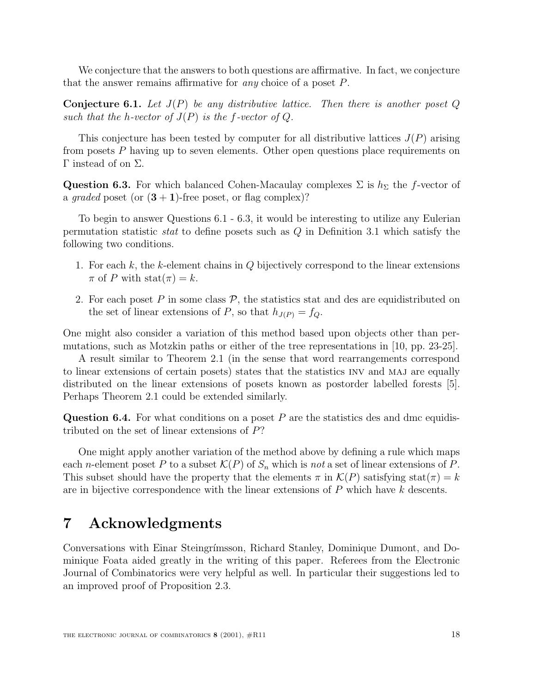We conjecture that the answers to both questions are affirmative. In fact, we conjecture that the answer remains affirmative for any choice of a poset P.

**Conjecture 6.1.** Let  $J(P)$  be any distributive lattice. Then there is another poset  $Q$ such that the h-vector of  $J(P)$  is the f-vector of Q.

This conjecture has been tested by computer for all distributive lattices  $J(P)$  arising from posets P having up to seven elements. Other open questions place requirements on Γ instead of on  $\Sigma$ .

**Question 6.3.** For which balanced Cohen-Macaulay complexes  $\Sigma$  is  $h_{\Sigma}$  the f-vector of a graded poset (or  $(3 + 1)$ -free poset, or flag complex)?

To begin to answer Questions 6.1 - 6.3, it would be interesting to utilize any Eulerian permutation statistic *stat* to define posets such as  $Q$  in Definition 3.1 which satisfy the following two conditions.

- 1. For each k, the k-element chains in  $Q$  bijectively correspond to the linear extensions  $\pi$  of P with stat $(\pi) = k$ .
- 2. For each poset P in some class  $P$ , the statistics stat and des are equidistributed on the set of linear extensions of P, so that  $h_{J(P)} = f_Q$ .

One might also consider a variation of this method based upon objects other than permutations, such as Motzkin paths or either of the tree representations in [10, pp. 23-25].

A result similar to Theorem 2.1 (in the sense that word rearrangements correspond to linear extensions of certain posets) states that the statistics inv and maj are equally distributed on the linear extensions of posets known as postorder labelled forests [5]. Perhaps Theorem 2.1 could be extended similarly.

**Question 6.4.** For what conditions on a poset P are the statistics des and dmc equidistributed on the set of linear extensions of P?

One might apply another variation of the method above by defining a rule which maps each *n*-element poset P to a subset  $\mathcal{K}(P)$  of  $S_n$  which is not a set of linear extensions of P. This subset should have the property that the elements  $\pi$  in  $\mathcal{K}(P)$  satisfying stat $(\pi) = k$ are in bijective correspondence with the linear extensions of  $P$  which have  $k$  descents.

# **7 Acknowledgments**

Conversations with Einar Steingrímsson, Richard Stanley, Dominique Dumont, and Dominique Foata aided greatly in the writing of this paper. Referees from the Electronic Journal of Combinatorics were very helpful as well. In particular their suggestions led to an improved proof of Proposition 2.3.